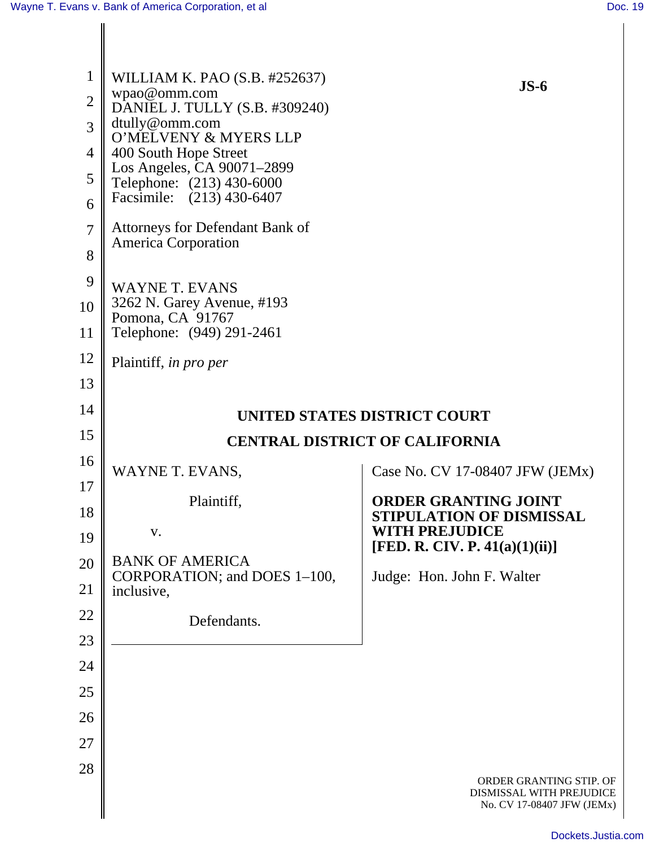| 1<br>$\overline{2}$<br>3<br>$\overline{4}$<br>5<br>6<br>$\overline{7}$<br>8<br>9<br>10<br>11 | WILLIAM K. PAO (S.B. #252637)<br>wpao@omm.com<br>DANIEL J. TULLY (S.B. #309240)<br>dtully@omm.com<br>O'MELVENY & MYERS LLP<br>400 South Hope Street<br>Los Angeles, CA 90071-2899<br>Telephone: (213) 430-6000<br>Facsimile: (213) 430-6407<br>Attorneys for Defendant Bank of<br><b>America Corporation</b><br><b>WAYNE T. EVANS</b><br>3262 N. Garey Avenue, #193<br>Pomona, CA 91767<br>Telephone: (949) 291-2461 | $JS-6$                                                                            |
|----------------------------------------------------------------------------------------------|----------------------------------------------------------------------------------------------------------------------------------------------------------------------------------------------------------------------------------------------------------------------------------------------------------------------------------------------------------------------------------------------------------------------|-----------------------------------------------------------------------------------|
| 12                                                                                           | Plaintiff, in pro per                                                                                                                                                                                                                                                                                                                                                                                                |                                                                                   |
| 13                                                                                           |                                                                                                                                                                                                                                                                                                                                                                                                                      |                                                                                   |
| 14                                                                                           | UNITED STATES DISTRICT COURT                                                                                                                                                                                                                                                                                                                                                                                         |                                                                                   |
| 15                                                                                           | <b>CENTRAL DISTRICT OF CALIFORNIA</b>                                                                                                                                                                                                                                                                                                                                                                                |                                                                                   |
| 16                                                                                           | WAYNE T. EVANS,                                                                                                                                                                                                                                                                                                                                                                                                      | Case No. CV 17-08407 JFW (JEMx)                                                   |
| 17                                                                                           | Plaintiff,                                                                                                                                                                                                                                                                                                                                                                                                           | <b>ORDER GRANTING JOINT</b>                                                       |
| 18                                                                                           | V.                                                                                                                                                                                                                                                                                                                                                                                                                   | STIPULATION OF DISMISSAL<br><b>WITH PREJUDICE</b>                                 |
| 19                                                                                           |                                                                                                                                                                                                                                                                                                                                                                                                                      | [FED. R. CIV. P. $41(a)(1)(ii)$ ]                                                 |
| 20                                                                                           | <b>BANK OF AMERICA</b><br>CORPORATION; and DOES 1-100,                                                                                                                                                                                                                                                                                                                                                               | Judge: Hon. John F. Walter                                                        |
| 21<br>22                                                                                     | inclusive,                                                                                                                                                                                                                                                                                                                                                                                                           |                                                                                   |
| 23                                                                                           | Defendants.                                                                                                                                                                                                                                                                                                                                                                                                          |                                                                                   |
| 24                                                                                           |                                                                                                                                                                                                                                                                                                                                                                                                                      |                                                                                   |
| 25                                                                                           |                                                                                                                                                                                                                                                                                                                                                                                                                      |                                                                                   |
| 26                                                                                           |                                                                                                                                                                                                                                                                                                                                                                                                                      |                                                                                   |
| 27                                                                                           |                                                                                                                                                                                                                                                                                                                                                                                                                      |                                                                                   |
| 28                                                                                           |                                                                                                                                                                                                                                                                                                                                                                                                                      |                                                                                   |
|                                                                                              |                                                                                                                                                                                                                                                                                                                                                                                                                      | ORDER GRANTING STIP. OF<br>DISMISSAL WITH PREJUDICE<br>No. CV 17-08407 JFW (JEMx) |